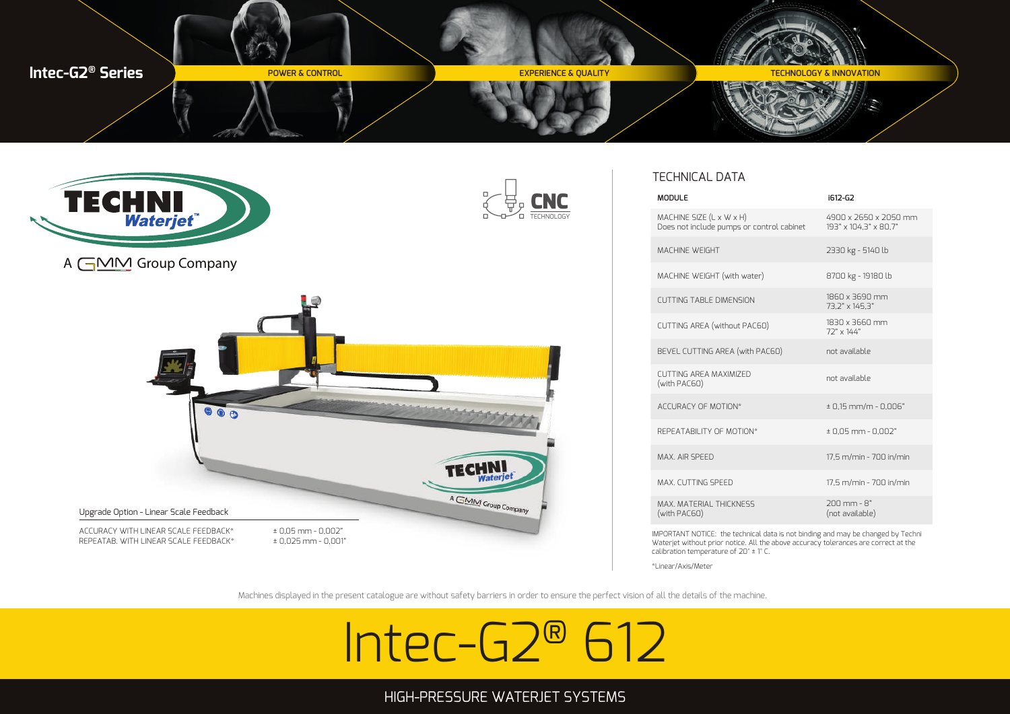



### TECHNICAL DATA

| <b>MODULE</b>                                                         | i612-G2                                        |
|-----------------------------------------------------------------------|------------------------------------------------|
| MACHINE SIZE (L x W x H)<br>Does not include pumps or control cabinet | 4900 x 2650 x 2050 mm<br>193" x 104.3" x 80.7" |
| MACHINE WEIGHT                                                        | 2330 kg - 5140 lb                              |
| MACHINE WEIGHT (with water)                                           | 8700 kg - 19180 lb                             |
| <b>CUTTING TABLE DIMENSION</b>                                        | 1860 x 3690 mm<br>73.2" x 145.3"               |
| CUTTING AREA (without PAC60)                                          | $1830 \times 3660$ mm<br>$72" \times 144"$     |
| BEVEL CUTTING AREA (with PAC60)                                       | not available                                  |
| CUTTING AREA MAXIMIZED<br>(with PAC60)                                | not available                                  |
| ACCURACY OF MOTION*                                                   | $± 0.15$ mm/m - 0.006"                         |
| REPEATARILITY OF MOTION*                                              | $± 0.05$ mm $- 0.002"$                         |
| MAX AIR SPEED                                                         | 17,5 m/min - 700 in/min                        |
| MAX. CUTTING SPEED                                                    | 17,5 m/min - 700 in/min                        |
| MAX. MATERIAL THICKNESS<br>(with PAC60)                               | $200$ mm - $8"$<br>(not available)             |

IMPORTANT NOTICE: the technical data is not binding and may be changed by Techni Waterjet without prior notice. All the above accuracy tolerances are correct at the calibration temperature of 20° ± 1° C.

\*Linear/Axis/Meter

Machines displayed in the present catalogue are without safety barriers in order to ensure the perfect vision of all the details of the machine.

# Intec-G2® 612

## HIGH-PRESSURE WATERJET SYSTEMS